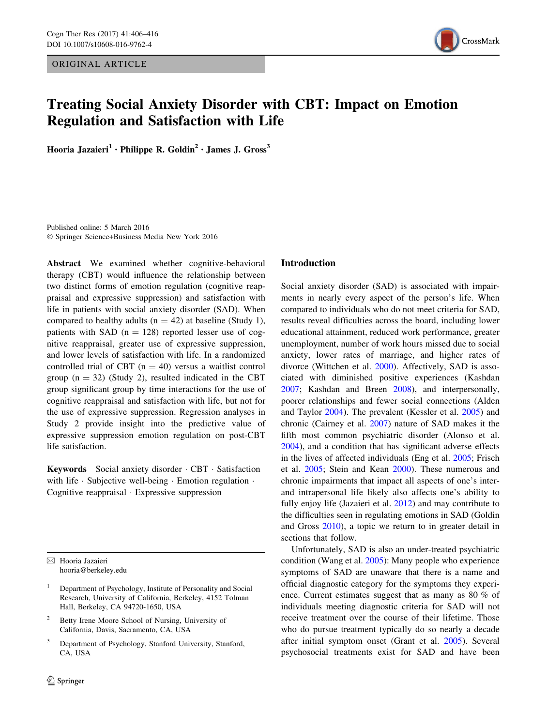ORIGINAL ARTICLE



# Treating Social Anxiety Disorder with CBT: Impact on Emotion Regulation and Satisfaction with Life

Hooria Jazaieri<sup>1</sup> · Philippe R. Goldin<sup>2</sup> · James J. Gross<sup>3</sup>

Published online: 5 March 2016 - Springer Science+Business Media New York 2016

Abstract We examined whether cognitive-behavioral therapy (CBT) would influence the relationship between two distinct forms of emotion regulation (cognitive reappraisal and expressive suppression) and satisfaction with life in patients with social anxiety disorder (SAD). When compared to healthy adults ( $n = 42$ ) at baseline (Study 1), patients with SAD  $(n = 128)$  reported lesser use of cognitive reappraisal, greater use of expressive suppression, and lower levels of satisfaction with life. In a randomized controlled trial of CBT  $(n = 40)$  versus a waitlist control group  $(n = 32)$  (Study 2), resulted indicated in the CBT group significant group by time interactions for the use of cognitive reappraisal and satisfaction with life, but not for the use of expressive suppression. Regression analyses in Study 2 provide insight into the predictive value of expressive suppression emotion regulation on post-CBT life satisfaction.

Keywords Social anxiety disorder - CBT - Satisfaction with life · Subjective well-being · Emotion regulation · Cognitive reappraisal - Expressive suppression

& Hooria Jazaieri hooria@berkeley.edu

- <sup>1</sup> Department of Psychology, Institute of Personality and Social Research, University of California, Berkeley, 4152 Tolman Hall, Berkeley, CA 94720-1650, USA
- <sup>2</sup> Betty Irene Moore School of Nursing, University of California, Davis, Sacramento, CA, USA
- Department of Psychology, Stanford University, Stanford, CA, USA

## Introduction

Social anxiety disorder (SAD) is associated with impairments in nearly every aspect of the person's life. When compared to individuals who do not meet criteria for SAD, results reveal difficulties across the board, including lower educational attainment, reduced work performance, greater unemployment, number of work hours missed due to social anxiety, lower rates of marriage, and higher rates of divorce (Wittchen et al. [2000](#page-10-0)). Affectively, SAD is associated with diminished positive experiences (Kashdan [2007](#page-10-0); Kashdan and Breen [2008](#page-10-0)), and interpersonally, poorer relationships and fewer social connections (Alden and Taylor [2004](#page-8-0)). The prevalent (Kessler et al. [2005](#page-10-0)) and chronic (Cairney et al. [2007\)](#page-8-0) nature of SAD makes it the fifth most common psychiatric disorder (Alonso et al. [2004](#page-8-0)), and a condition that has significant adverse effects in the lives of affected individuals (Eng et al. [2005;](#page-9-0) Frisch et al. [2005;](#page-9-0) Stein and Kean [2000\)](#page-10-0). These numerous and chronic impairments that impact all aspects of one's interand intrapersonal life likely also affects one's ability to fully enjoy life (Jazaieri et al. [2012](#page-9-0)) and may contribute to the difficulties seen in regulating emotions in SAD (Goldin and Gross [2010](#page-9-0)), a topic we return to in greater detail in sections that follow.

Unfortunately, SAD is also an under-treated psychiatric condition (Wang et al. [2005\)](#page-10-0): Many people who experience symptoms of SAD are unaware that there is a name and official diagnostic category for the symptoms they experience. Current estimates suggest that as many as 80 % of individuals meeting diagnostic criteria for SAD will not receive treatment over the course of their lifetime. Those who do pursue treatment typically do so nearly a decade after initial symptom onset (Grant et al. [2005\)](#page-9-0). Several psychosocial treatments exist for SAD and have been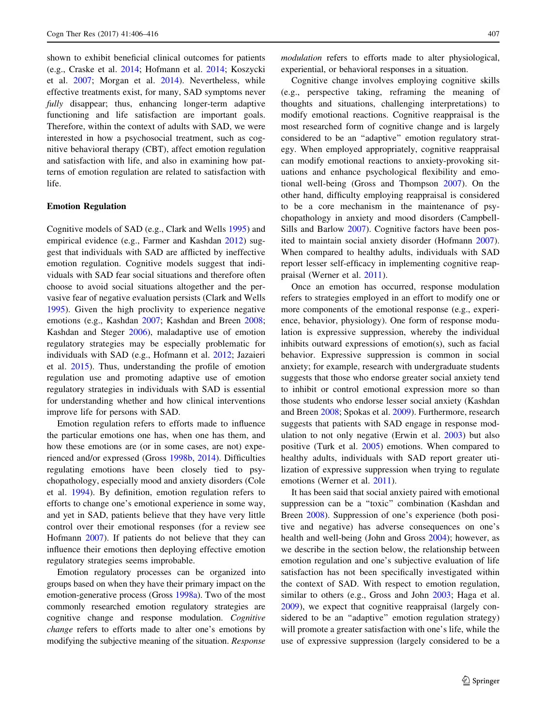shown to exhibit beneficial clinical outcomes for patients (e.g., Craske et al. [2014;](#page-9-0) Hofmann et al. [2014;](#page-9-0) Koszycki et al. [2007;](#page-10-0) Morgan et al. [2014](#page-10-0)). Nevertheless, while effective treatments exist, for many, SAD symptoms never fully disappear; thus, enhancing longer-term adaptive functioning and life satisfaction are important goals. Therefore, within the context of adults with SAD, we were interested in how a psychosocial treatment, such as cognitive behavioral therapy (CBT), affect emotion regulation and satisfaction with life, and also in examining how patterns of emotion regulation are related to satisfaction with life.

### Emotion Regulation

Cognitive models of SAD (e.g., Clark and Wells [1995\)](#page-8-0) and empirical evidence (e.g., Farmer and Kashdan [2012](#page-9-0)) suggest that individuals with SAD are afflicted by ineffective emotion regulation. Cognitive models suggest that individuals with SAD fear social situations and therefore often choose to avoid social situations altogether and the pervasive fear of negative evaluation persists (Clark and Wells [1995\)](#page-8-0). Given the high proclivity to experience negative emotions (e.g., Kashdan [2007;](#page-10-0) Kashdan and Breen [2008](#page-10-0); Kashdan and Steger [2006](#page-10-0)), maladaptive use of emotion regulatory strategies may be especially problematic for individuals with SAD (e.g., Hofmann et al. [2012](#page-9-0); Jazaieri et al. [2015](#page-9-0)). Thus, understanding the profile of emotion regulation use and promoting adaptive use of emotion regulatory strategies in individuals with SAD is essential for understanding whether and how clinical interventions improve life for persons with SAD.

Emotion regulation refers to efforts made to influence the particular emotions one has, when one has them, and how these emotions are (or in some cases, are not) experienced and/or expressed (Gross [1998b,](#page-9-0) [2014](#page-9-0)). Difficulties regulating emotions have been closely tied to psychopathology, especially mood and anxiety disorders (Cole et al. [1994\)](#page-9-0). By definition, emotion regulation refers to efforts to change one's emotional experience in some way, and yet in SAD, patients believe that they have very little control over their emotional responses (for a review see Hofmann [2007](#page-9-0)). If patients do not believe that they can influence their emotions then deploying effective emotion regulatory strategies seems improbable.

Emotion regulatory processes can be organized into groups based on when they have their primary impact on the emotion-generative process (Gross [1998a\)](#page-9-0). Two of the most commonly researched emotion regulatory strategies are cognitive change and response modulation. Cognitive change refers to efforts made to alter one's emotions by modifying the subjective meaning of the situation. Response modulation refers to efforts made to alter physiological, experiential, or behavioral responses in a situation.

Cognitive change involves employing cognitive skills (e.g., perspective taking, reframing the meaning of thoughts and situations, challenging interpretations) to modify emotional reactions. Cognitive reappraisal is the most researched form of cognitive change and is largely considered to be an ''adaptive'' emotion regulatory strategy. When employed appropriately, cognitive reappraisal can modify emotional reactions to anxiety-provoking situations and enhance psychological flexibility and emotional well-being (Gross and Thompson [2007\)](#page-9-0). On the other hand, difficulty employing reappraisal is considered to be a core mechanism in the maintenance of psychopathology in anxiety and mood disorders (Campbell-Sills and Barlow [2007\)](#page-8-0). Cognitive factors have been posited to maintain social anxiety disorder (Hofmann [2007](#page-9-0)). When compared to healthy adults, individuals with SAD report lesser self-efficacy in implementing cognitive reappraisal (Werner et al. [2011\)](#page-10-0).

Once an emotion has occurred, response modulation refers to strategies employed in an effort to modify one or more components of the emotional response (e.g., experience, behavior, physiology). One form of response modulation is expressive suppression, whereby the individual inhibits outward expressions of emotion(s), such as facial behavior. Expressive suppression is common in social anxiety; for example, research with undergraduate students suggests that those who endorse greater social anxiety tend to inhibit or control emotional expression more so than those students who endorse lesser social anxiety (Kashdan and Breen [2008](#page-10-0); Spokas et al. [2009\)](#page-10-0). Furthermore, research suggests that patients with SAD engage in response modulation to not only negative (Erwin et al. [2003\)](#page-9-0) but also positive (Turk et al. [2005](#page-10-0)) emotions. When compared to healthy adults, individuals with SAD report greater utilization of expressive suppression when trying to regulate emotions (Werner et al. [2011\)](#page-10-0).

It has been said that social anxiety paired with emotional suppression can be a ''toxic'' combination (Kashdan and Breen [2008\)](#page-10-0). Suppression of one's experience (both positive and negative) has adverse consequences on one's health and well-being (John and Gross [2004\)](#page-9-0); however, as we describe in the section below, the relationship between emotion regulation and one's subjective evaluation of life satisfaction has not been specifically investigated within the context of SAD. With respect to emotion regulation, similar to others (e.g., Gross and John [2003](#page-9-0); Haga et al. [2009](#page-9-0)), we expect that cognitive reappraisal (largely considered to be an "adaptive" emotion regulation strategy) will promote a greater satisfaction with one's life, while the use of expressive suppression (largely considered to be a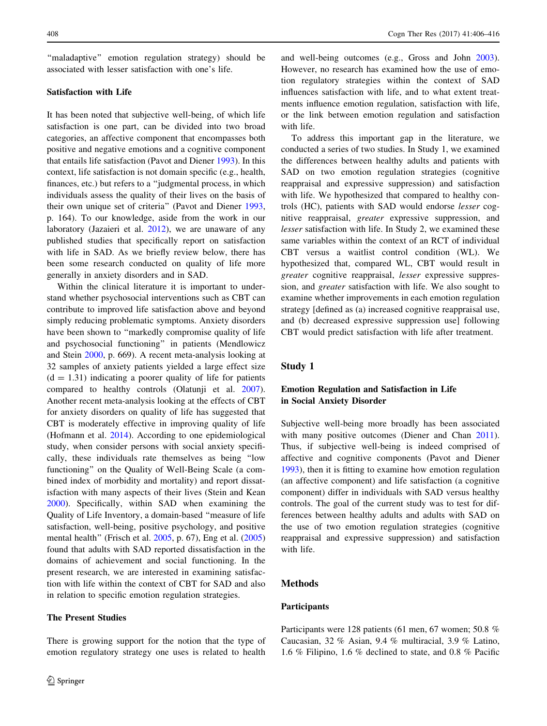''maladaptive'' emotion regulation strategy) should be associated with lesser satisfaction with one's life.

## Satisfaction with Life

It has been noted that subjective well-being, of which life satisfaction is one part, can be divided into two broad categories, an affective component that encompasses both positive and negative emotions and a cognitive component that entails life satisfaction (Pavot and Diener [1993\)](#page-10-0). In this context, life satisfaction is not domain specific (e.g., health, finances, etc.) but refers to a ''judgmental process, in which individuals assess the quality of their lives on the basis of their own unique set of criteria'' (Pavot and Diener [1993,](#page-10-0) p. 164). To our knowledge, aside from the work in our laboratory (Jazaieri et al. [2012\)](#page-9-0), we are unaware of any published studies that specifically report on satisfaction with life in SAD. As we briefly review below, there has been some research conducted on quality of life more generally in anxiety disorders and in SAD.

Within the clinical literature it is important to understand whether psychosocial interventions such as CBT can contribute to improved life satisfaction above and beyond simply reducing problematic symptoms. Anxiety disorders have been shown to "markedly compromise quality of life and psychosocial functioning'' in patients (Mendlowicz and Stein [2000](#page-10-0), p. 669). A recent meta-analysis looking at 32 samples of anxiety patients yielded a large effect size  $(d = 1.31)$  indicating a poorer quality of life for patients compared to healthy controls (Olatunji et al. [2007](#page-10-0)). Another recent meta-analysis looking at the effects of CBT for anxiety disorders on quality of life has suggested that CBT is moderately effective in improving quality of life (Hofmann et al. [2014\)](#page-9-0). According to one epidemiological study, when consider persons with social anxiety specifically, these individuals rate themselves as being ''low functioning'' on the Quality of Well-Being Scale (a combined index of morbidity and mortality) and report dissatisfaction with many aspects of their lives (Stein and Kean [2000\)](#page-10-0). Specifically, within SAD when examining the Quality of Life Inventory, a domain-based ''measure of life satisfaction, well-being, positive psychology, and positive mental health'' (Frisch et al. [2005](#page-9-0), p. 67), Eng et al. ([2005\)](#page-9-0) found that adults with SAD reported dissatisfaction in the domains of achievement and social functioning. In the present research, we are interested in examining satisfaction with life within the context of CBT for SAD and also in relation to specific emotion regulation strategies.

## The Present Studies

There is growing support for the notion that the type of emotion regulatory strategy one uses is related to health

and well-being outcomes (e.g., Gross and John [2003](#page-9-0)). However, no research has examined how the use of emotion regulatory strategies within the context of SAD influences satisfaction with life, and to what extent treatments influence emotion regulation, satisfaction with life, or the link between emotion regulation and satisfaction with life.

To address this important gap in the literature, we conducted a series of two studies. In Study 1, we examined the differences between healthy adults and patients with SAD on two emotion regulation strategies (cognitive reappraisal and expressive suppression) and satisfaction with life. We hypothesized that compared to healthy controls (HC), patients with SAD would endorse lesser cognitive reappraisal, greater expressive suppression, and lesser satisfaction with life. In Study 2, we examined these same variables within the context of an RCT of individual CBT versus a waitlist control condition (WL). We hypothesized that, compared WL, CBT would result in greater cognitive reappraisal, lesser expressive suppression, and greater satisfaction with life. We also sought to examine whether improvements in each emotion regulation strategy [defined as (a) increased cognitive reappraisal use, and (b) decreased expressive suppression use] following CBT would predict satisfaction with life after treatment.

# Study 1

# Emotion Regulation and Satisfaction in Life in Social Anxiety Disorder

Subjective well-being more broadly has been associated with many positive outcomes (Diener and Chan [2011](#page-9-0)). Thus, if subjective well-being is indeed comprised of affective and cognitive components (Pavot and Diener [1993](#page-10-0)), then it is fitting to examine how emotion regulation (an affective component) and life satisfaction (a cognitive component) differ in individuals with SAD versus healthy controls. The goal of the current study was to test for differences between healthy adults and adults with SAD on the use of two emotion regulation strategies (cognitive reappraisal and expressive suppression) and satisfaction with life.

# Methods

#### Participants

Participants were 128 patients (61 men, 67 women; 50.8 % Caucasian, 32 % Asian, 9.4 % multiracial, 3.9 % Latino, 1.6 % Filipino, 1.6 % declined to state, and 0.8 % Pacific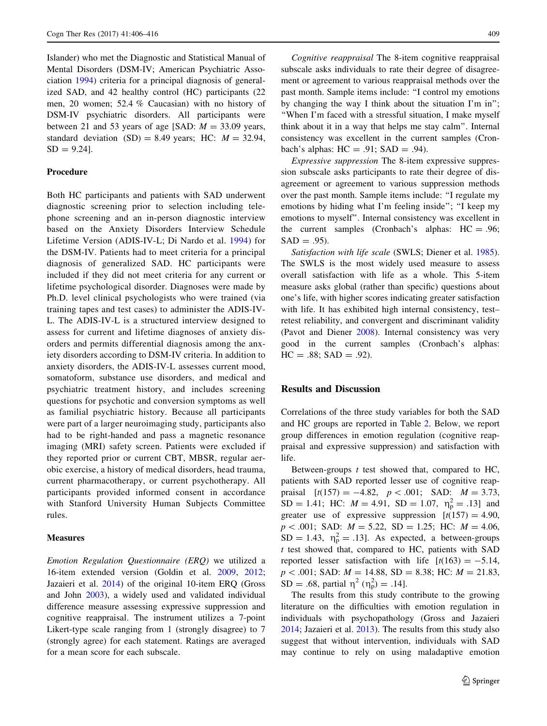Islander) who met the Diagnostic and Statistical Manual of Mental Disorders (DSM-IV; American Psychiatric Association [1994\)](#page-8-0) criteria for a principal diagnosis of generalized SAD, and 42 healthy control (HC) participants (22 men, 20 women; 52.4 % Caucasian) with no history of DSM-IV psychiatric disorders. All participants were between 21 and 53 years of age [SAD:  $M = 33.09$  years, standard deviation  $(SD) = 8.49$  years; HC:  $M = 32.94$ ,  $SD = 9.24$ ].

## Procedure

Both HC participants and patients with SAD underwent diagnostic screening prior to selection including telephone screening and an in-person diagnostic interview based on the Anxiety Disorders Interview Schedule Lifetime Version (ADIS-IV-L; Di Nardo et al. [1994](#page-9-0)) for the DSM-IV. Patients had to meet criteria for a principal diagnosis of generalized SAD. HC participants were included if they did not meet criteria for any current or lifetime psychological disorder. Diagnoses were made by Ph.D. level clinical psychologists who were trained (via training tapes and test cases) to administer the ADIS-IV-L. The ADIS-IV-L is a structured interview designed to assess for current and lifetime diagnoses of anxiety disorders and permits differential diagnosis among the anxiety disorders according to DSM-IV criteria. In addition to anxiety disorders, the ADIS-IV-L assesses current mood, somatoform, substance use disorders, and medical and psychiatric treatment history, and includes screening questions for psychotic and conversion symptoms as well as familial psychiatric history. Because all participants were part of a larger neuroimaging study, participants also had to be right-handed and pass a magnetic resonance imaging (MRI) safety screen. Patients were excluded if they reported prior or current CBT, MBSR, regular aerobic exercise, a history of medical disorders, head trauma, current pharmacotherapy, or current psychotherapy. All participants provided informed consent in accordance with Stanford University Human Subjects Committee rules.

#### **Measures**

Emotion Regulation Questionnaire (ERQ) we utilized a 16-item extended version (Goldin et al. [2009](#page-9-0), [2012](#page-9-0); Jazaieri et al. [2014](#page-9-0)) of the original 10-item ERQ (Gross and John [2003\)](#page-9-0), a widely used and validated individual difference measure assessing expressive suppression and cognitive reappraisal. The instrument utilizes a 7-point Likert-type scale ranging from 1 (strongly disagree) to 7 (strongly agree) for each statement. Ratings are averaged for a mean score for each subscale.

Cognitive reappraisal The 8-item cognitive reappraisal subscale asks individuals to rate their degree of disagreement or agreement to various reappraisal methods over the past month. Sample items include: ''I control my emotions by changing the way I think about the situation I'm in''; ''When I'm faced with a stressful situation, I make myself think about it in a way that helps me stay calm''. Internal consistency was excellent in the current samples (Cronbach's alphas:  $HC = .91$ ;  $SAD = .94$ ).

Expressive suppression The 8-item expressive suppression subscale asks participants to rate their degree of disagreement or agreement to various suppression methods over the past month. Sample items include: ''I regulate my emotions by hiding what I'm feeling inside''; ''I keep my emotions to myself''. Internal consistency was excellent in the current samples (Cronbach's alphas: HC = .96;  $SAD = .95$ ).

Satisfaction with life scale (SWLS; Diener et al. [1985](#page-9-0)). The SWLS is the most widely used measure to assess overall satisfaction with life as a whole. This 5-item measure asks global (rather than specific) questions about one's life, with higher scores indicating greater satisfaction with life. It has exhibited high internal consistency, test– retest reliability, and convergent and discriminant validity (Pavot and Diener [2008](#page-10-0)). Internal consistency was very good in the current samples (Cronbach's alphas:  $HC = .88$ ;  $SAD = .92$ ).

## Results and Discussion

Correlations of the three study variables for both the SAD and HC groups are reported in Table [2](#page-5-0). Below, we report group differences in emotion regulation (cognitive reappraisal and expressive suppression) and satisfaction with life.

Between-groups  $t$  test showed that, compared to HC, patients with SAD reported lesser use of cognitive reappraisal  $[t(157) = -4.82, p < .001;$  SAD:  $M = 3.73$ ,  $SD = 1.41$ ; HC:  $M = 4.91$ ,  $SD = 1.07$ ,  $\eta_{p}^{2} = .13$ ] and greater use of expressive suppression  $[t(157) = 4.90]$  $p < .001$ ; SAD:  $M = 5.22$ , SD = 1.25; HC:  $M = 4.06$ ,  $SD = 1.43$ ,  $\eta_p^2 = .13$ . As expected, a between-groups t test showed that, compared to HC, patients with SAD reported lesser satisfaction with life  $[t(163) = -5.14,$  $p\lt .001$ ; SAD:  $M = 14.88$ , SD = 8.38; HC:  $M = 21.83$ , SD = .68, partial  $\eta^2$  ( $\eta_p^2$ ) = .14].

The results from this study contribute to the growing literature on the difficulties with emotion regulation in individuals with psychopathology (Gross and Jazaieri [2014](#page-9-0); Jazaieri et al. [2013](#page-9-0)). The results from this study also suggest that without intervention, individuals with SAD may continue to rely on using maladaptive emotion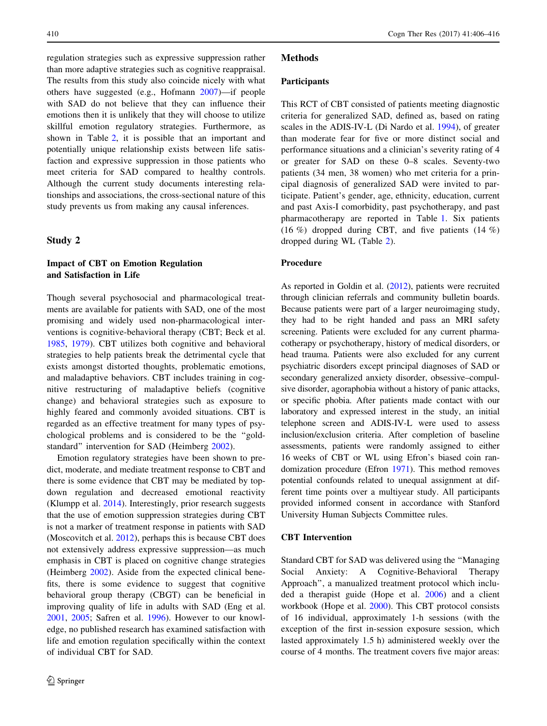regulation strategies such as expressive suppression rather than more adaptive strategies such as cognitive reappraisal. The results from this study also coincide nicely with what others have suggested (e.g., Hofmann [2007\)](#page-9-0)—if people with SAD do not believe that they can influence their emotions then it is unlikely that they will choose to utilize skillful emotion regulatory strategies. Furthermore, as shown in Table [2,](#page-5-0) it is possible that an important and potentially unique relationship exists between life satisfaction and expressive suppression in those patients who meet criteria for SAD compared to healthy controls. Although the current study documents interesting relationships and associations, the cross-sectional nature of this study prevents us from making any causal inferences.

# Study 2

# Impact of CBT on Emotion Regulation and Satisfaction in Life

Though several psychosocial and pharmacological treatments are available for patients with SAD, one of the most promising and widely used non-pharmacological interventions is cognitive-behavioral therapy (CBT; Beck et al. [1985,](#page-8-0) [1979\)](#page-8-0). CBT utilizes both cognitive and behavioral strategies to help patients break the detrimental cycle that exists amongst distorted thoughts, problematic emotions, and maladaptive behaviors. CBT includes training in cognitive restructuring of maladaptive beliefs (cognitive change) and behavioral strategies such as exposure to highly feared and commonly avoided situations. CBT is regarded as an effective treatment for many types of psychological problems and is considered to be the ''goldstandard'' intervention for SAD (Heimberg [2002](#page-9-0)).

Emotion regulatory strategies have been shown to predict, moderate, and mediate treatment response to CBT and there is some evidence that CBT may be mediated by topdown regulation and decreased emotional reactivity (Klumpp et al. [2014](#page-10-0)). Interestingly, prior research suggests that the use of emotion suppression strategies during CBT is not a marker of treatment response in patients with SAD (Moscovitch et al. [2012](#page-10-0)), perhaps this is because CBT does not extensively address expressive suppression—as much emphasis in CBT is placed on cognitive change strategies (Heimberg [2002](#page-9-0)). Aside from the expected clinical benefits, there is some evidence to suggest that cognitive behavioral group therapy (CBGT) can be beneficial in improving quality of life in adults with SAD (Eng et al. [2001,](#page-9-0) [2005;](#page-9-0) Safren et al. [1996](#page-10-0)). However to our knowledge, no published research has examined satisfaction with life and emotion regulation specifically within the context of individual CBT for SAD.

## Methods

#### Participants

This RCT of CBT consisted of patients meeting diagnostic criteria for generalized SAD, defined as, based on rating scales in the ADIS-IV-L (Di Nardo et al. [1994](#page-9-0)), of greater than moderate fear for five or more distinct social and performance situations and a clinician's severity rating of 4 or greater for SAD on these 0–8 scales. Seventy-two patients (34 men, 38 women) who met criteria for a principal diagnosis of generalized SAD were invited to participate. Patient's gender, age, ethnicity, education, current and past Axis-I comorbidity, past psychotherapy, and past pharmacotherapy are reported in Table [1.](#page-5-0) Six patients (16 %) dropped during CBT, and five patients  $(14 \%)$ dropped during WL (Table [2](#page-5-0)).

#### Procedure

As reported in Goldin et al. ([2012](#page-9-0)), patients were recruited through clinician referrals and community bulletin boards. Because patients were part of a larger neuroimaging study, they had to be right handed and pass an MRI safety screening. Patients were excluded for any current pharmacotherapy or psychotherapy, history of medical disorders, or head trauma. Patients were also excluded for any current psychiatric disorders except principal diagnoses of SAD or secondary generalized anxiety disorder, obsessive–compulsive disorder, agoraphobia without a history of panic attacks, or specific phobia. After patients made contact with our laboratory and expressed interest in the study, an initial telephone screen and ADIS-IV-L were used to assess inclusion/exclusion criteria. After completion of baseline assessments, patients were randomly assigned to either 16 weeks of CBT or WL using Efron's biased coin randomization procedure (Efron [1971](#page-9-0)). This method removes potential confounds related to unequal assignment at different time points over a multiyear study. All participants provided informed consent in accordance with Stanford University Human Subjects Committee rules.

#### CBT Intervention

Standard CBT for SAD was delivered using the ''Managing Social Anxiety: A Cognitive-Behavioral Therapy Approach'', a manualized treatment protocol which included a therapist guide (Hope et al. [2006\)](#page-9-0) and a client workbook (Hope et al. [2000](#page-9-0)). This CBT protocol consists of 16 individual, approximately 1-h sessions (with the exception of the first in-session exposure session, which lasted approximately 1.5 h) administered weekly over the course of 4 months. The treatment covers five major areas: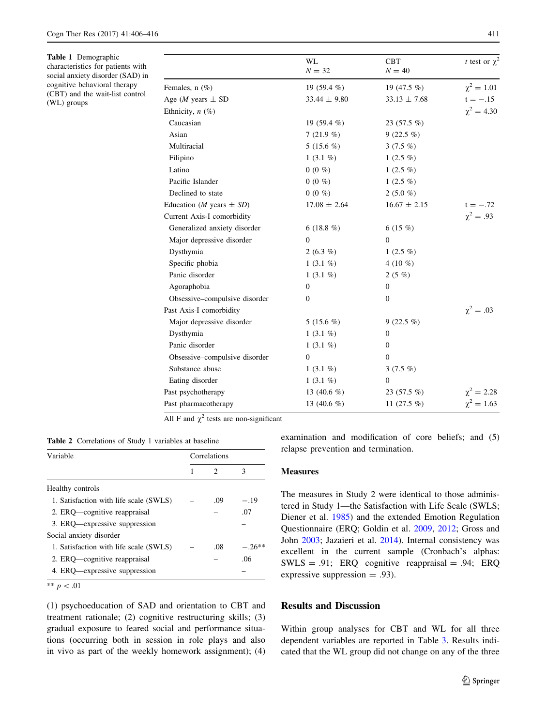<span id="page-5-0"></span>Table 1 Demographic characteristics for patients with social anxiety disorder (SAD) in cognitive behavioral therapy (CBT) and the wait-list control (WL) groups

|                                       | <b>WL</b><br>$N = 32$ | <b>CBT</b><br>$N = 40$ | t test or $\chi^2$ |
|---------------------------------------|-----------------------|------------------------|--------------------|
| Females, $n$ $(\%)$                   | 19 $(59.4\%)$         | 19 (47.5 %)            | $\chi^2 = 1.01$    |
| Age ( <i>M</i> years $\pm$ SD         | $33.44 \pm 9.80$      | $33.13 \pm 7.68$       | $t = -.15$         |
| Ethnicity, $n$ (%)                    |                       |                        | $\chi^2 = 4.30$    |
| Caucasian                             | 19 $(59.4\%)$         | 23 $(57.5\%)$          |                    |
| Asian                                 | 7(21.9%               | $9(22.5\%)$            |                    |
| Multiracial                           | 5 (15.6 $%$ )         | 3 $(7.5\%)$            |                    |
| Filipino                              | 1 $(3.1\%)$           | 1 $(2.5 \%)$           |                    |
| Latino                                | $0(0\%)$              | 1 $(2.5 \%)$           |                    |
| Pacific Islander                      | $0(0\%$               | 1 $(2.5 \%)$           |                    |
| Declined to state                     | $0(0\%)$              | 2 $(5.0\%)$            |                    |
| Education ( <i>M</i> years $\pm SD$ ) | $17.08 \pm 2.64$      | $16.67 \pm 2.15$       | $t = -.72$         |
| Current Axis-I comorbidity            |                       |                        | $\chi^2 = .93$     |
| Generalized anxiety disorder          | 6 $(18.8\%)$          | 6 $(15 \%)$            |                    |
| Major depressive disorder             | $\mathbf{0}$          | $\Omega$               |                    |
| Dysthymia                             | 2 $(6.3\%)$           | 1 $(2.5 \%)$           |                    |
| Specific phobia                       | 1 $(3.1\%)$           | 4 (10 $%$ )            |                    |
| Panic disorder                        | 1 $(3.1\%)$           | $2(5\%)$               |                    |
| Agoraphobia                           | $\mathbf{0}$          | $\mathbf{0}$           |                    |
| Obsessive-compulsive disorder         | $\theta$              | $\Omega$               |                    |
| Past Axis-I comorbidity               |                       |                        | $\chi^2 = .03$     |
| Major depressive disorder             | 5 (15.6 $%$ )         | $9(22.5\%)$            |                    |
| Dysthymia                             | 1 $(3.1\%)$           | $\mathbf{0}$           |                    |
| Panic disorder                        | 1 $(3.1\%)$           | $\mathbf{0}$           |                    |
| Obsessive-compulsive disorder         | 0                     | $\Omega$               |                    |
| Substance abuse                       | 1 $(3.1\%)$           | 3 $(7.5\%)$            |                    |
| Eating disorder                       | 1 $(3.1\%)$           | $\mathbf{0}$           |                    |
| Past psychotherapy                    | 13 (40.6 $%$ )        | $23(57.5\%)$           | $\chi^2 = 2.28$    |
| Past pharmacotherapy                  | 13 (40.6 $%$ )        | 11 $(27.5\%$           | $\chi^2 = 1.63$    |

All F and  $\chi^2$  tests are non-significant

Table 2 Correlations of Study 1 variables at baseline

| Variable                               | Correlations |               |          |
|----------------------------------------|--------------|---------------|----------|
|                                        |              | $\mathcal{D}$ | 3        |
| Healthy controls                       |              |               |          |
| 1. Satisfaction with life scale (SWLS) |              | .09           | $-.19$   |
| 2. ERQ—cognitive reappraisal           |              |               | .07      |
| 3. ERO—expressive suppression          |              |               |          |
| Social anxiety disorder                |              |               |          |
| 1. Satisfaction with life scale (SWLS) |              | .08           | $-.26**$ |
| 2. ERQ—cognitive reappraisal           |              |               | .06      |
| 4. ERQ—expressive suppression          |              |               |          |
| ** $p < .01$                           |              |               |          |

(1) psychoeducation of SAD and orientation to CBT and treatment rationale; (2) cognitive restructuring skills; (3) gradual exposure to feared social and performance situations (occurring both in session in role plays and also in vivo as part of the weekly homework assignment); (4) examination and modification of core beliefs; and (5) relapse prevention and termination.

#### Measures

The measures in Study 2 were identical to those administered in Study 1—the Satisfaction with Life Scale (SWLS; Diener et al. [1985](#page-9-0)) and the extended Emotion Regulation Questionnaire (ERQ; Goldin et al. [2009,](#page-9-0) [2012;](#page-9-0) Gross and John [2003;](#page-9-0) Jazaieri et al. [2014\)](#page-9-0). Internal consistency was excellent in the current sample (Cronbach's alphas:  $SWLS = .91$ ; ERQ cognitive reappraisal = .94; ERQ expressive suppression  $= .93$ ).

# Results and Discussion

Within group analyses for CBT and WL for all three dependent variables are reported in Table [3](#page-6-0). Results indicated that the WL group did not change on any of the three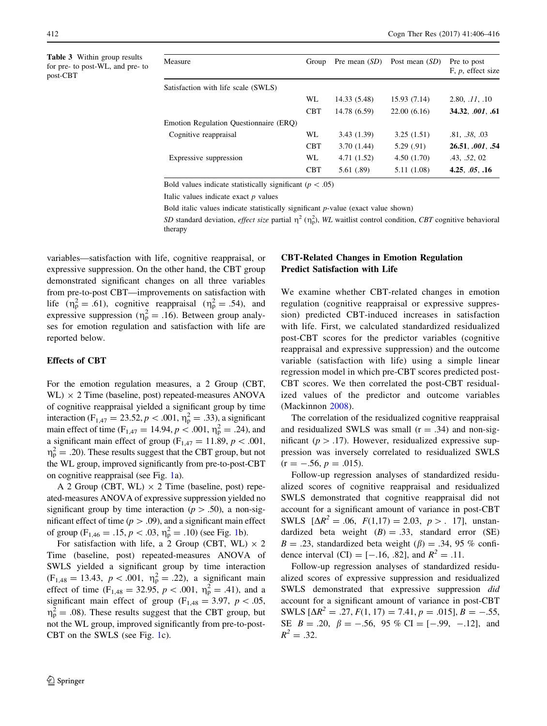<span id="page-6-0"></span>Table 3 Within group results for pre- to post-WL, and pre- to post-CBT

| Measure                                | Group      | Pre mean $(SD)$ | Post mean $(SD)$ | Pre to post<br>$F, p$ , effect size |
|----------------------------------------|------------|-----------------|------------------|-------------------------------------|
| Satisfaction with life scale (SWLS)    |            |                 |                  |                                     |
|                                        | WL         | 14.33 (5.48)    | 15.93 (7.14)     | 2.80, .11, .10                      |
|                                        | <b>CBT</b> | 14.78 (6.59)    | 22.00(6.16)      | 34.32, 001, .61                     |
| Emotion Regulation Questionnaire (ERQ) |            |                 |                  |                                     |
| Cognitive reappraisal                  | WL.        | 3.43(1.39)      | 3.25(1.51)       | .81, .38, .03                       |
|                                        | <b>CBT</b> | 3.70(1.44)      | 5.29(.91)        | 26.51, .001, .54                    |
| Expressive suppression                 | WL         | 4.71 (1.52)     | 4.50(1.70)       | .43, .52, 02                        |
|                                        | <b>CBT</b> | 5.61 (.89)      | 5.11 (1.08)      | 4.25, $.05$ , $.16$                 |

Bold values indicate statistically significant ( $p < .05$ )

Italic values indicate exact  $p$  values

Bold italic values indicate statistically significant  $p$ -value (exact value shown)

SD standard deviation, *effect size* partial  $\eta^2$  ( $\eta_p^2$ ), WL waitlist control condition, CBT cognitive behavioral therapy

variables—satisfaction with life, cognitive reappraisal, or expressive suppression. On the other hand, the CBT group demonstrated significant changes on all three variables from pre-to-post CBT—improvements on satisfaction with life  $(\eta_{\rm p}^2 = .61)$ , cognitive reappraisal  $(\eta_{\rm p}^2 = .54)$ , and expressive suppression ( $\eta_p^2 = .16$ ). Between group analyses for emotion regulation and satisfaction with life are reported below.

#### Effects of CBT

For the emotion regulation measures, a 2 Group (CBT,  $WL) \times 2$  Time (baseline, post) repeated-measures ANOVA of cognitive reappraisal yielded a significant group by time interaction (F<sub>1,47</sub> = 23.52, *p* < .001,  $\eta_p^2 = .33$ ), a significant main effect of time ( $F_{1,47} = 14.94$ ,  $p < .001$ ,  $\eta_p^2 = .24$ ), and a significant main effect of group ( $F_{1,47} = 11.89$ ,  $p \lt .001$ ,  $\eta_{\rm p}^2 = .20$ ). These results suggest that the CBT group, but not the WL group, improved significantly from pre-to-post-CBT on cognitive reappraisal (see Fig. [1](#page-7-0)a).

A 2 Group (CBT, WL)  $\times$  2 Time (baseline, post) repeated-measures ANOVA of expressive suppression yielded no significant group by time interaction ( $p > .50$ ), a non-significant effect of time ( $p > .09$ ), and a significant main effect of group ( $F_{1,46} = .15, p < .03, \eta_p^2 = .10$  $F_{1,46} = .15, p < .03, \eta_p^2 = .10$  $F_{1,46} = .15, p < .03, \eta_p^2 = .10$ ) (see Fig. 1b).

For satisfaction with life, a 2 Group (CBT, WL)  $\times$  2 Time (baseline, post) repeated-measures ANOVA of SWLS yielded a significant group by time interaction  $(F_{1,48} = 13.43, p < .001, \eta_p^2 = .22)$ , a significant main effect of time  $(F_{1,48} = 32.95, p < .001, \eta_{p}^{2} = .41)$ , and a significant main effect of group ( $F_{1,48} = 3.97$ ,  $p < .05$ ,  $\eta_p^2 = .08$ ). These results suggest that the CBT group, but not the WL group, improved significantly from pre-to-post-CBT on the SWLS (see Fig. [1](#page-7-0)c).

# CBT-Related Changes in Emotion Regulation Predict Satisfaction with Life

We examine whether CBT-related changes in emotion regulation (cognitive reappraisal or expressive suppression) predicted CBT-induced increases in satisfaction with life. First, we calculated standardized residualized post-CBT scores for the predictor variables (cognitive reappraisal and expressive suppression) and the outcome variable (satisfaction with life) using a simple linear regression model in which pre-CBT scores predicted post-CBT scores. We then correlated the post-CBT residualized values of the predictor and outcome variables (Mackinnon [2008\)](#page-10-0).

The correlation of the residualized cognitive reappraisal and residualized SWLS was small  $(r = .34)$  and non-significant ( $p > .17$ ). However, residualized expressive suppression was inversely correlated to residualized SWLS  $(r = -.56, p = .015).$ 

Follow-up regression analyses of standardized residualized scores of cognitive reappraisal and residualized SWLS demonstrated that cognitive reappraisal did not account for a significant amount of variance in post-CBT SWLS  $[\Delta R^2 = .06, F(1,17) = 2.03, p > .17]$ , unstandardized beta weight  $(B) = .33$ , standard error  $(SE)$  $B = .23$ , standardized beta weight ( $\beta$ ) = .34, 95 % confidence interval (CI) =  $[-.16, .82]$ , and  $R^2 = .11$ .

Follow-up regression analyses of standardized residualized scores of expressive suppression and residualized SWLS demonstrated that expressive suppression did account for a significant amount of variance in post-CBT SWLS  $[\Delta R^2 = .27, F(1, 17) = 7.41, p = .015]$ ,  $B = -.55$ , SE  $B = .20$ ,  $\beta = -.56$ , 95 % CI = [-.99, -.12], and  $R^2 = .32$ .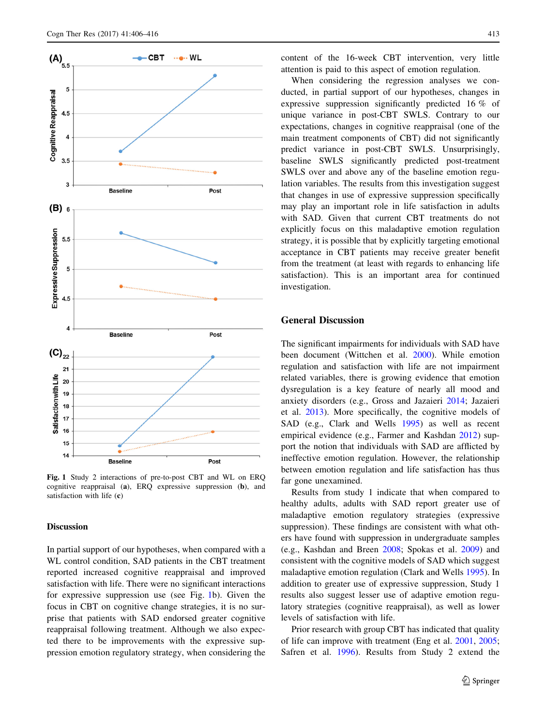<span id="page-7-0"></span>

Fig. 1 Study 2 interactions of pre-to-post CBT and WL on ERQ cognitive reappraisal (a), ERQ expressive suppression (b), and satisfaction with life (c)

### Discussion

In partial support of our hypotheses, when compared with a WL control condition, SAD patients in the CBT treatment reported increased cognitive reappraisal and improved satisfaction with life. There were no significant interactions for expressive suppression use (see Fig. 1b). Given the focus in CBT on cognitive change strategies, it is no surprise that patients with SAD endorsed greater cognitive reappraisal following treatment. Although we also expected there to be improvements with the expressive suppression emotion regulatory strategy, when considering the content of the 16-week CBT intervention, very little attention is paid to this aspect of emotion regulation.

When considering the regression analyses we conducted, in partial support of our hypotheses, changes in expressive suppression significantly predicted 16 % of unique variance in post-CBT SWLS. Contrary to our expectations, changes in cognitive reappraisal (one of the main treatment components of CBT) did not significantly predict variance in post-CBT SWLS. Unsurprisingly, baseline SWLS significantly predicted post-treatment SWLS over and above any of the baseline emotion regulation variables. The results from this investigation suggest that changes in use of expressive suppression specifically may play an important role in life satisfaction in adults with SAD. Given that current CBT treatments do not explicitly focus on this maladaptive emotion regulation strategy, it is possible that by explicitly targeting emotional acceptance in CBT patients may receive greater benefit from the treatment (at least with regards to enhancing life satisfaction). This is an important area for continued investigation.

## General Discussion

The significant impairments for individuals with SAD have been document (Wittchen et al. [2000\)](#page-10-0). While emotion regulation and satisfaction with life are not impairment related variables, there is growing evidence that emotion dysregulation is a key feature of nearly all mood and anxiety disorders (e.g., Gross and Jazaieri [2014](#page-9-0); Jazaieri et al. [2013\)](#page-9-0). More specifically, the cognitive models of SAD (e.g., Clark and Wells [1995\)](#page-8-0) as well as recent empirical evidence (e.g., Farmer and Kashdan [2012](#page-9-0)) support the notion that individuals with SAD are afflicted by ineffective emotion regulation. However, the relationship between emotion regulation and life satisfaction has thus far gone unexamined.

Results from study 1 indicate that when compared to healthy adults, adults with SAD report greater use of maladaptive emotion regulatory strategies (expressive suppression). These findings are consistent with what others have found with suppression in undergraduate samples (e.g., Kashdan and Breen [2008;](#page-10-0) Spokas et al. [2009](#page-10-0)) and consistent with the cognitive models of SAD which suggest maladaptive emotion regulation (Clark and Wells [1995\)](#page-8-0). In addition to greater use of expressive suppression, Study 1 results also suggest lesser use of adaptive emotion regulatory strategies (cognitive reappraisal), as well as lower levels of satisfaction with life.

Prior research with group CBT has indicated that quality of life can improve with treatment (Eng et al. [2001,](#page-9-0) [2005](#page-9-0); Safren et al. [1996\)](#page-10-0). Results from Study 2 extend the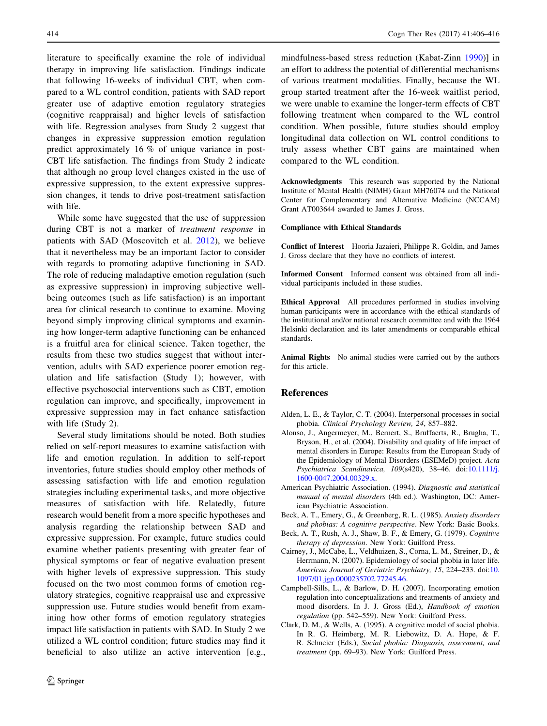<span id="page-8-0"></span>literature to specifically examine the role of individual therapy in improving life satisfaction. Findings indicate that following 16-weeks of individual CBT, when compared to a WL control condition, patients with SAD report greater use of adaptive emotion regulatory strategies (cognitive reappraisal) and higher levels of satisfaction with life. Regression analyses from Study 2 suggest that changes in expressive suppression emotion regulation predict approximately 16 % of unique variance in post-CBT life satisfaction. The findings from Study 2 indicate that although no group level changes existed in the use of expressive suppression, to the extent expressive suppression changes, it tends to drive post-treatment satisfaction with life.

While some have suggested that the use of suppression during CBT is not a marker of treatment response in patients with SAD (Moscovitch et al. [2012\)](#page-10-0), we believe that it nevertheless may be an important factor to consider with regards to promoting adaptive functioning in SAD. The role of reducing maladaptive emotion regulation (such as expressive suppression) in improving subjective wellbeing outcomes (such as life satisfaction) is an important area for clinical research to continue to examine. Moving beyond simply improving clinical symptoms and examining how longer-term adaptive functioning can be enhanced is a fruitful area for clinical science. Taken together, the results from these two studies suggest that without intervention, adults with SAD experience poorer emotion regulation and life satisfaction (Study 1); however, with effective psychosocial interventions such as CBT, emotion regulation can improve, and specifically, improvement in expressive suppression may in fact enhance satisfaction with life (Study 2).

Several study limitations should be noted. Both studies relied on self-report measures to examine satisfaction with life and emotion regulation. In addition to self-report inventories, future studies should employ other methods of assessing satisfaction with life and emotion regulation strategies including experimental tasks, and more objective measures of satisfaction with life. Relatedly, future research would benefit from a more specific hypotheses and analysis regarding the relationship between SAD and expressive suppression. For example, future studies could examine whether patients presenting with greater fear of physical symptoms or fear of negative evaluation present with higher levels of expressive suppression. This study focused on the two most common forms of emotion regulatory strategies, cognitive reappraisal use and expressive suppression use. Future studies would benefit from examining how other forms of emotion regulatory strategies impact life satisfaction in patients with SAD. In Study 2 we utilized a WL control condition; future studies may find it beneficial to also utilize an active intervention [e.g.,

mindfulness-based stress reduction (Kabat-Zinn [1990\)](#page-10-0)] in an effort to address the potential of differential mechanisms of various treatment modalities. Finally, because the WL group started treatment after the 16-week waitlist period, we were unable to examine the longer-term effects of CBT following treatment when compared to the WL control condition. When possible, future studies should employ longitudinal data collection on WL control conditions to truly assess whether CBT gains are maintained when compared to the WL condition.

Acknowledgments This research was supported by the National Institute of Mental Health (NIMH) Grant MH76074 and the National Center for Complementary and Alternative Medicine (NCCAM) Grant AT003644 awarded to James J. Gross.

#### Compliance with Ethical Standards

Conflict of Interest Hooria Jazaieri, Philippe R. Goldin, and James J. Gross declare that they have no conflicts of interest.

Informed Consent Informed consent was obtained from all individual participants included in these studies.

Ethical Approval All procedures performed in studies involving human participants were in accordance with the ethical standards of the institutional and/or national research committee and with the 1964 Helsinki declaration and its later amendments or comparable ethical standards.

Animal Rights No animal studies were carried out by the authors for this article.

#### References

- Alden, L. E., & Taylor, C. T. (2004). Interpersonal processes in social phobia. Clinical Psychology Review, 24, 857–882.
- Alonso, J., Angermeyer, M., Bernert, S., Bruffaerts, R., Brugha, T., Bryson, H., et al. (2004). Disability and quality of life impact of mental disorders in Europe: Results from the European Study of the Epidemiology of Mental Disorders (ESEMeD) project. Acta Psychiatrica Scandinavica, 109(s420), 38–46. doi:[10.1111/j.](http://dx.doi.org/10.1111/j.1600-0047.2004.00329.x) [1600-0047.2004.00329.x.](http://dx.doi.org/10.1111/j.1600-0047.2004.00329.x)
- American Psychiatric Association. (1994). Diagnostic and statistical manual of mental disorders (4th ed.). Washington, DC: American Psychiatric Association.
- Beck, A. T., Emery, G., & Greenberg, R. L. (1985). Anxiety disorders and phobias: A cognitive perspective. New York: Basic Books.
- Beck, A. T., Rush, A. J., Shaw, B. F., & Emery, G. (1979). Cognitive therapy of depression. New York: Guilford Press.
- Cairney, J., McCabe, L., Veldhuizen, S., Corna, L. M., Streiner, D., & Herrmann, N. (2007). Epidemiology of social phobia in later life. American Journal of Geriatric Psychiatry, 15, 224–233. doi:[10.](http://dx.doi.org/10.1097/01.jgp.0000235702.77245.46) [1097/01.jgp.0000235702.77245.46](http://dx.doi.org/10.1097/01.jgp.0000235702.77245.46).
- Campbell-Sills, L., & Barlow, D. H. (2007). Incorporating emotion regulation into conceptualizations and treatments of anxiety and mood disorders. In J. J. Gross (Ed.), Handbook of emotion regulation (pp. 542–559). New York: Guilford Press.
- Clark, D. M., & Wells, A. (1995). A cognitive model of social phobia. In R. G. Heimberg, M. R. Liebowitz, D. A. Hope, & F. R. Schneier (Eds.), Social phobia: Diagnosis, assessment, and treatment (pp. 69–93). New York: Guilford Press.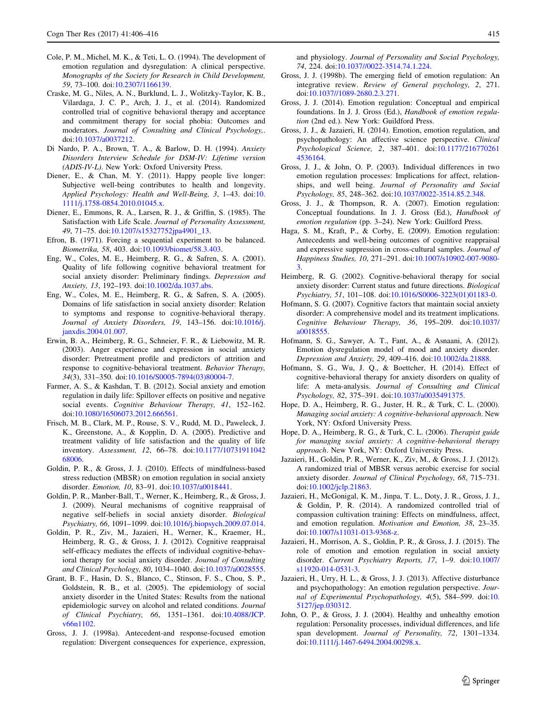- <span id="page-9-0"></span>Cole, P. M., Michel, M. K., & Teti, L. O. (1994). The development of emotion regulation and dysregulation: A clinical perspective. Monographs of the Society for Research in Child Development, 59, 73–100. doi[:10.2307/1166139.](http://dx.doi.org/10.2307/1166139)
- Craske, M. G., Niles, A. N., Burklund, L. J., Wolitzky-Taylor, K. B., Vilardaga, J. C. P., Arch, J. J., et al. (2014). Randomized controlled trial of cognitive behavioral therapy and acceptance and commitment therapy for social phobia: Outcomes and moderators. Journal of Consulting and Clinical Psychology,. doi[:10.1037/a0037212.](http://dx.doi.org/10.1037/a0037212)
- Di Nardo, P. A., Brown, T. A., & Barlow, D. H. (1994). Anxiety Disorders Interview Schedule for DSM-IV: Lifetime version (ADIS-IV-L). New York: Oxford University Press.
- Diener, E., & Chan, M. Y. (2011). Happy people live longer: Subjective well-being contributes to health and longevity. Applied Psychology: Health and Well-Being, 3, 1–43. doi:[10.](http://dx.doi.org/10.1111/j.1758-0854.2010.01045.x) [1111/j.1758-0854.2010.01045.x](http://dx.doi.org/10.1111/j.1758-0854.2010.01045.x).
- Diener, E., Emmons, R. A., Larsen, R. J., & Griffin, S. (1985). The Satisfaction with Life Scale. Journal of Personality Assessment, 49, 71–75. doi:[10.1207/s15327752jpa4901\\_13.](http://dx.doi.org/10.1207/s15327752jpa4901_13)
- Efron, B. (1971). Forcing a sequential experiment to be balanced. Biometrika, 58, 403. doi[:10.1093/biomet/58.3.403.](http://dx.doi.org/10.1093/biomet/58.3.403)
- Eng, W., Coles, M. E., Heimberg, R. G., & Safren, S. A. (2001). Quality of life following cognitive behavioral treatment for social anxiety disorder: Preliminary findings. Depression and Anxiety, 13, 192–193. doi:[10.1002/da.1037.abs](http://dx.doi.org/10.1002/da.1037.abs).
- Eng, W., Coles, M. E., Heimberg, R. G., & Safren, S. A. (2005). Domains of life satisfaction in social anxiety disorder: Relation to symptoms and response to cognitive-behavioral therapy. Journal of Anxiety Disorders, 19, 143–156. doi:[10.1016/j.](http://dx.doi.org/10.1016/j.janxdis.2004.01.007) [janxdis.2004.01.007](http://dx.doi.org/10.1016/j.janxdis.2004.01.007).
- Erwin, B. A., Heimberg, R. G., Schneier, F. R., & Liebowitz, M. R. (2003). Anger experience and expression in social anxiety disorder: Pretreatment profile and predictors of attrition and response to cognitive-behavioral treatment. Behavior Therapy, 34(3), 331–350. doi[:10.1016/S0005-7894\(03\)80004-7.](http://dx.doi.org/10.1016/S0005-7894(03)80004-7)
- Farmer, A. S., & Kashdan, T. B. (2012). Social anxiety and emotion regulation in daily life: Spillover effects on positive and negative social events. Cognitive Behaviour Therapy, 41, 152-162. doi[:10.1080/16506073.2012.666561.](http://dx.doi.org/10.1080/16506073.2012.666561)
- Frisch, M. B., Clark, M. P., Rouse, S. V., Rudd, M. D., Paweleck, J. K., Greenstone, A., & Kopplin, D. A. (2005). Predictive and treatment validity of life satisfaction and the quality of life inventory. Assessment, 12, 66–78. doi:[10.1177/10731911042](http://dx.doi.org/10.1177/1073191104268006) [68006](http://dx.doi.org/10.1177/1073191104268006).
- Goldin, P. R., & Gross, J. J. (2010). Effects of mindfulness-based stress reduction (MBSR) on emotion regulation in social anxiety disorder. Emotion, 10, 83–91. doi[:10.1037/a0018441.](http://dx.doi.org/10.1037/a0018441)
- Goldin, P. R., Manber-Ball, T., Werner, K., Heimberg, R., & Gross, J. J. (2009). Neural mechanisms of cognitive reappraisal of negative self-beliefs in social anxiety disorder. Biological Psychiatry, 66, 1091–1099. doi:[10.1016/j.biopsych.2009.07.014](http://dx.doi.org/10.1016/j.biopsych.2009.07.014).
- Goldin, P. R., Ziv, M., Jazaieri, H., Werner, K., Kraemer, H., Heimberg, R. G., & Gross, J. J. (2012). Cognitive reappraisal self-efficacy mediates the effects of individual cognitive-behavioral therapy for social anxiety disorder. Journal of Consulting and Clinical Psychology, 80, 1034–1040. doi:[10.1037/a0028555](http://dx.doi.org/10.1037/a0028555).
- Grant, B. F., Hasin, D. S., Blanco, C., Stinson, F. S., Chou, S. P., Goldstein, R. B., et al. (2005). The epidemiology of social anxiety disorder in the United States: Results from the national epidemiologic survey on alcohol and related conditions. Journal of Clinical Psychiatry, 66, 1351–1361. doi[:10.4088/JCP.](http://dx.doi.org/10.4088/JCP.v66n1102) [v66n1102.](http://dx.doi.org/10.4088/JCP.v66n1102)
- Gross, J. J. (1998a). Antecedent-and response-focused emotion regulation: Divergent consequences for experience, expression,

and physiology. Journal of Personality and Social Psychology, 74, 224. doi[:10.1037//0022-3514.74.1.224](http://dx.doi.org/10.1037//0022-3514.74.1.224).

- Gross, J. J. (1998b). The emerging field of emotion regulation: An integrative review. Review of General psychology, 2, 271. doi[:10.1037//1089-2680.2.3.271.](http://dx.doi.org/10.1037//1089-2680.2.3.271)
- Gross, J. J. (2014). Emotion regulation: Conceptual and empirical foundations. In J. J. Gross (Ed.), Handbook of emotion regulation (2nd ed.). New York: Guildford Press.
- Gross, J. J., & Jazaieri, H. (2014). Emotion, emotion regulation, and psychopathology: An affective science perspective. Clinical Psychological Science, 2, 387–401. doi[:10.1177/216770261](http://dx.doi.org/10.1177/2167702614536164) [4536164.](http://dx.doi.org/10.1177/2167702614536164)
- Gross, J. J., & John, O. P. (2003). Individual differences in two emotion regulation processes: Implications for affect, relationships, and well being. Journal of Personality and Social Psychology, 85, 248–362. doi[:10.1037/0022-3514.85.2.348.](http://dx.doi.org/10.1037/0022-3514.85.2.348)
- Gross, J. J., & Thompson, R. A. (2007). Emotion regulation: Conceptual foundations. In J. J. Gross (Ed.), Handbook of emotion regulation (pp. 3–24). New York: Guilford Press.
- Haga, S. M., Kraft, P., & Corby, E. (2009). Emotion regulation: Antecedents and well-being outcomes of cognitive reappraisal and expressive suppression in cross-cultural samples. Journal of Happiness Studies, 10, 271–291. doi:[10.1007/s10902-007-9080-](http://dx.doi.org/10.1007/s10902-007-9080-3) [3](http://dx.doi.org/10.1007/s10902-007-9080-3).
- Heimberg, R. G. (2002). Cognitive-behavioral therapy for social anxiety disorder: Current status and future directions. Biological Psychiatry, 51, 101–108. doi:[10.1016/S0006-3223\(01\)01183-0](http://dx.doi.org/10.1016/S0006-3223(01)01183-0).
- Hofmann, S. G. (2007). Cognitive factors that maintain social anxiety disorder: A comprehensive model and its treatment implications. Cognitive Behaviour Therapy, 36, 195–209. doi[:10.1037/](http://dx.doi.org/10.1037/a0018555) [a0018555.](http://dx.doi.org/10.1037/a0018555)
- Hofmann, S. G., Sawyer, A. T., Fant, A., & Asnaani, A. (2012). Emotion dysregulation model of mood and anxiety disorder. Depression and Anxiety, 29, 409–416. doi:[10.1002/da.21888](http://dx.doi.org/10.1002/da.21888).
- Hofmann, S. G., Wu, J. Q., & Boettcher, H. (2014). Effect of cognitive-behavioral therapy for anxiety disorders on quality of life: A meta-analysis. Journal of Consulting and Clinical Psychology, 82, 375–391. doi[:10.1037/a0035491375.](http://dx.doi.org/10.1037/a0035491375)
- Hope, D. A., Heimberg, R. G., Juster, H. R., & Turk, C. L. (2000). Managing social anxiety: A cognitive-behavioral approach. New York, NY: Oxford University Press.
- Hope, D. A., Heimberg, R. G., & Turk, C. L. (2006). Therapist guide for managing social anxiety: A cognitive-behavioral therapy approach. New York, NY: Oxford University Press.
- Jazaieri, H., Goldin, P. R., Werner, K., Ziv, M., & Gross, J. J. (2012). A randomized trial of MBSR versus aerobic exercise for social anxiety disorder. Journal of Clinical Psychology, 68, 715–731. doi[:10.1002/jclp.21863](http://dx.doi.org/10.1002/jclp.21863).
- Jazaieri, H., McGonigal, K. M., Jinpa, T. L., Doty, J. R., Gross, J. J., & Goldin, P. R. (2014). A randomized controlled trial of compassion cultivation training: Effects on mindfulness, affect, and emotion regulation. Motivation and Emotion, 38, 23–35. doi[:10.1007/s11031-013-9368-z.](http://dx.doi.org/10.1007/s11031-013-9368-z)
- Jazaieri, H., Morrison, A. S., Goldin, P. R., & Gross, J. J. (2015). The role of emotion and emotion regulation in social anxiety disorder. Current Psychiatry Reports, 17, 1–9. doi[:10.1007/](http://dx.doi.org/10.1007/s11920-014-0531-3) [s11920-014-0531-3.](http://dx.doi.org/10.1007/s11920-014-0531-3)
- Jazaieri, H., Urry, H. L., & Gross, J. J. (2013). Affective disturbance and psychopathology: An emotion regulation perspective. Jour-nal of Experimental Psychopathology, 4(5), 584-599. doi:[10.](http://dx.doi.org/10.5127/jep.030312) [5127/jep.030312](http://dx.doi.org/10.5127/jep.030312).
- John, O. P., & Gross, J. J. (2004). Healthy and unhealthy emotion regulation: Personality processes, individual differences, and life span development. Journal of Personality, 72, 1301–1334. doi[:10.1111/j.1467-6494.2004.00298.x](http://dx.doi.org/10.1111/j.1467-6494.2004.00298.x).